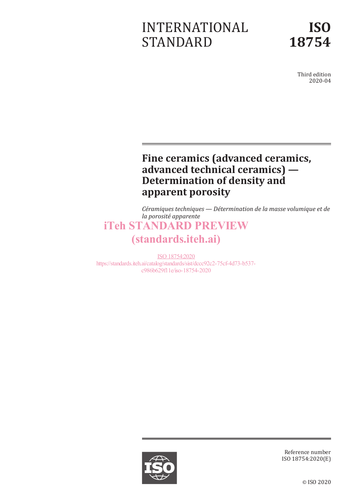# INTERNATIONAL STANDARD

Third edition 2020-04

# **Fine ceramics (advanced ceramics, advanced technical ceramics) — Determination of density and apparent porosity**

*Céramiques techniques — Détermination de la masse volumique et de la porosité apparente*

# iTeh STANDARD PREVIEW

# (standards.iteh.ai)

ISO 18754:2020 https://standards.iteh.ai/catalog/standards/sist/dccc92c2-75cf-4d73-b537 c986b629f11e/iso-18754-2020



Reference number ISO 18754:2020(E)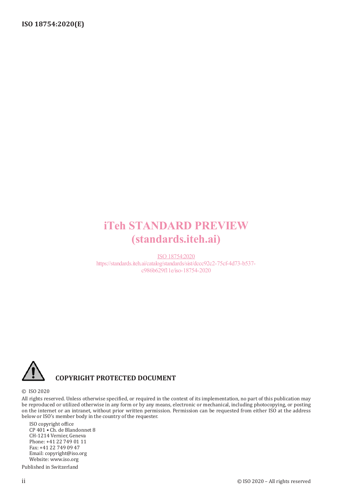# iTeh STANDARD PREVIEW (standards.iteh.ai)

ISO 18754:2020 https://standards.iteh.ai/catalog/standards/sist/dccc92c2-75cf-4d73-b537 c986b629f11e/iso-18754-2020



# **COPYRIGHT PROTECTED DOCUMENT**

#### © ISO 2020

All rights reserved. Unless otherwise specified, or required in the context of its implementation, no part of this publication may be reproduced or utilized otherwise in any form or by any means, electronic or mechanical, including photocopying, or posting on the internet or an intranet, without prior written permission. Permission can be requested from either ISO at the address below or ISO's member body in the country of the requester.

ISO copyright office CP 401 • Ch. de Blandonnet 8 CH-1214 Vernier, Geneva Phone: +41 22 749 01 11 Fax: +41 22 749 09 47 Email: copyright@iso.org Website: www.iso.org

Published in Switzerland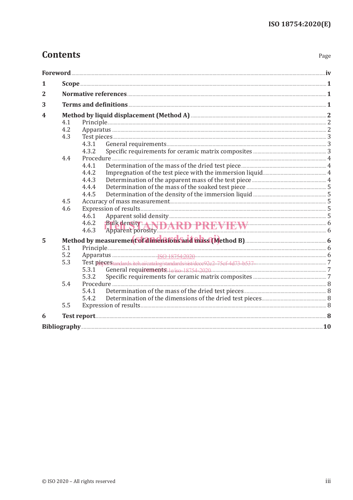# **Contents**

Page

| 1              |                                                                              |                                                                                                                                                                                                                               |  |  |  |  |  |
|----------------|------------------------------------------------------------------------------|-------------------------------------------------------------------------------------------------------------------------------------------------------------------------------------------------------------------------------|--|--|--|--|--|
| $\overline{2}$ |                                                                              |                                                                                                                                                                                                                               |  |  |  |  |  |
| 3              |                                                                              |                                                                                                                                                                                                                               |  |  |  |  |  |
| 4              | Method by liquid displacement (Method A) <b>Method A</b> ) <b>Method A</b> 2 |                                                                                                                                                                                                                               |  |  |  |  |  |
|                | 4.1                                                                          |                                                                                                                                                                                                                               |  |  |  |  |  |
|                | 4.2                                                                          |                                                                                                                                                                                                                               |  |  |  |  |  |
|                | 4.3                                                                          |                                                                                                                                                                                                                               |  |  |  |  |  |
|                |                                                                              | 4.3.1                                                                                                                                                                                                                         |  |  |  |  |  |
|                |                                                                              | 4.3.2                                                                                                                                                                                                                         |  |  |  |  |  |
|                | 4.4                                                                          | Procedure 2008 and 2008 and 2008 and 2008 and 2008 and 2008 and 2008 and 2008 and 2008 and 2008 and 2008 and 2008 and 2008 and 2008 and 2008 and 2008 and 2008 and 2008 and 2008 and 2008 and 2008 and 2008 and 2008 and 2008 |  |  |  |  |  |
|                |                                                                              | 4.4.1                                                                                                                                                                                                                         |  |  |  |  |  |
|                |                                                                              | 4.4.2                                                                                                                                                                                                                         |  |  |  |  |  |
|                |                                                                              | 4.4.3                                                                                                                                                                                                                         |  |  |  |  |  |
|                |                                                                              | 4.4.4                                                                                                                                                                                                                         |  |  |  |  |  |
|                |                                                                              | 4.4.5                                                                                                                                                                                                                         |  |  |  |  |  |
|                | 4.5                                                                          |                                                                                                                                                                                                                               |  |  |  |  |  |
|                | 4.6                                                                          |                                                                                                                                                                                                                               |  |  |  |  |  |
|                |                                                                              | 4.6.1                                                                                                                                                                                                                         |  |  |  |  |  |
|                |                                                                              | Bulk density ARD PREVIEW 66<br>4.6.2<br>4.6.3                                                                                                                                                                                 |  |  |  |  |  |
| 5              |                                                                              |                                                                                                                                                                                                                               |  |  |  |  |  |
|                | 5.1                                                                          |                                                                                                                                                                                                                               |  |  |  |  |  |
|                | 5.2                                                                          |                                                                                                                                                                                                                               |  |  |  |  |  |
|                | 5.3                                                                          |                                                                                                                                                                                                                               |  |  |  |  |  |
|                |                                                                              | 5.3.1                                                                                                                                                                                                                         |  |  |  |  |  |
|                |                                                                              | 5.3.2                                                                                                                                                                                                                         |  |  |  |  |  |
|                | 5.4                                                                          |                                                                                                                                                                                                                               |  |  |  |  |  |
|                |                                                                              | 5.4.1                                                                                                                                                                                                                         |  |  |  |  |  |
|                |                                                                              | 5.4.2                                                                                                                                                                                                                         |  |  |  |  |  |
|                | 5.5                                                                          |                                                                                                                                                                                                                               |  |  |  |  |  |
| 6              |                                                                              |                                                                                                                                                                                                                               |  |  |  |  |  |
|                |                                                                              |                                                                                                                                                                                                                               |  |  |  |  |  |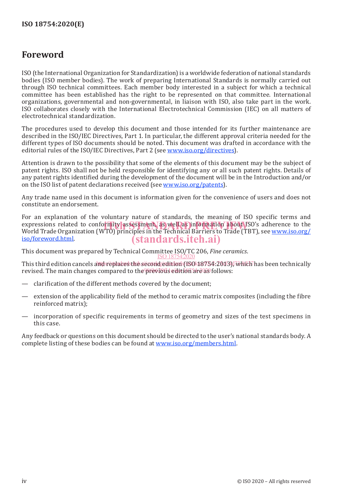# **Foreword**

ISO (the International Organization for Standardization) is a worldwide federation of national standards bodies (ISO member bodies). The work of preparing International Standards is normally carried out through ISO technical committees. Each member body interested in a subject for which a technical committee has been established has the right to be represented on that committee. International organizations, governmental and non-governmental, in liaison with ISO, also take part in the work. ISO collaborates closely with the International Electrotechnical Commission (IEC) on all matters of electrotechnical standardization.

The procedures used to develop this document and those intended for its further maintenance are described in the ISO/IEC Directives, Part 1. In particular, the different approval criteria needed for the different types of ISO documents should be noted. This document was drafted in accordance with the editorial rules of the ISO/IEC Directives, Part 2 (see www.iso.org/directives).

Attention is drawn to the possibility that some of the elements of this document may be the subject of patent rights. ISO shall not be held responsible for identifying any or all such patent rights. Details of any patent rights identified during the development of the document will be in the Introduction and/or on the ISO list of patent declarations received (see www.iso.org/patents).

Any trade name used in this document is information given for the convenience of users and does not constitute an endorsement.

For an explanation of the voluntary nature of standards, the meaning of ISO specific terms and expressions related to conformity assessment, as well as information about ISO's adherence to the<br>World Trade Organization (WTO) principles in the Technical Barriers to Trade (TBT), see www.iso.org/ World Trade Organization (WTO) principles in the Technical Barriers to Trade (TBT), see www.iso.org/ iso/foreword.html. (standards.iteh.ai)

This document was prepared by Technical Committee ISO/TC 206, *Fine ceramics*. ISO 18754:2020

This third edition cancels and replaces the second edition (ISO 18754:2013), Which has been technically revised. The main changes compared to the%revi&us edition are as follows:

- clarification of the different methods covered by the document;
- extension of the applicability field of the method to ceramic matrix composites (including the fibre reinforced matrix);
- incorporation of specific requirements in terms of geometry and sizes of the test specimens in this case.

Any feedback or questions on this document should be directed to the user's national standards body. A complete listing of these bodies can be found at www.iso.org/members.html.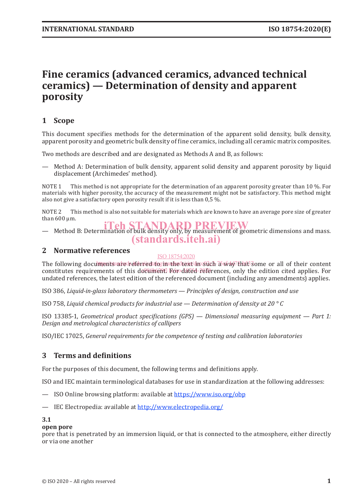# **Fine ceramics (advanced ceramics, advanced technical ceramics) — Determination of density and apparent porosity**

# **1 Scope**

This document specifies methods for the determination of the apparent solid density, bulk density, apparent porosity and geometric bulk density of fine ceramics, including all ceramic matrix composites.

Two methods are described and are designated as Methods A and B, as follows:

— Method A: Determination of bulk density, apparent solid density and apparent porosity by liquid displacement (Archimedes' method).

NOTE 1 This method is not appropriate for the determination of an apparent porosity greater than 10 %. For materials with higher porosity, the accuracy of the measurement might not be satisfactory. This method might also not give a satisfactory open porosity result if it is less than 0,5 %.

NOTE 2 This method is also not suitable for materials which are known to have an average pore size of greater than 600 µm.

man 550 pm.<br>— Method B: Determination of bulk density only, by measurement of geometric dimensions and mass.

(standards.iteh.ai)

### **2 Normative references**

#### ISO 18754:2020

The following documents are dreferred to in the text in such a way that some or all of their content constitutes requirements of this document. For dated references, only the edition cited applies. For undated references, the latest edition of the referenced document (including any amendments) applies.

ISO 386, *Liquid-in-glass laboratory thermometers — Principles of design, construction and use*

ISO 758, *Liquid chemical products for industrial use — Determination of density at 20 ° C*

ISO 13385-1, *Geometrical product specifications (GPS) — Dimensional measuring equipment — Part 1: Design and metrological characteristics of callipers*

ISO/IEC 17025, *General requirements for the competence of testing and calibration laboratories*

# **3 Terms and definitions**

For the purposes of this document, the following terms and definitions apply.

ISO and IEC maintain terminological databases for use in standardization at the following addresses:

- ISO Online browsing platform: available at https://www.iso.org/obp
- IEC Electropedia: available at http://www.electropedia.org/

#### **3.1**

#### **open pore**

pore that is penetrated by an immersion liquid, or that is connected to the atmosphere, either directly or via one another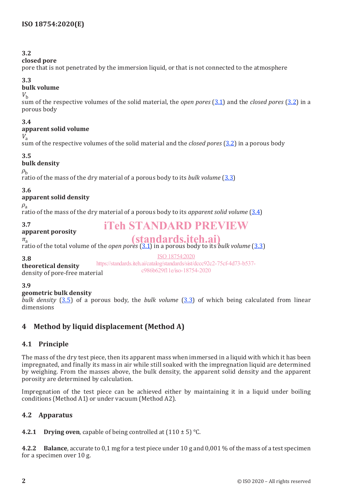### **3.2**

### **closed pore**

pore that is not penetrated by the immersion liquid, or that is not connected to the atmosphere

#### **3.3**

### **bulk volume**

 $V_{\rm h}$ 

sum of the respective volumes of the solid material, the *open pores* (3.1) and the *closed pores* (3.2) in a porous body

### **3.4**

### **apparent solid volume**

 $V_{\rm a}$ 

sum of the respective volumes of the solid material and the *closed pores* (3.2) in a porous body

### **3.5**

# **bulk density**

 $\rho_{\rm h}$ 

ratio of the mass of the dry material of a porous body to its *bulk volume* (3.3)

# **3.6**

# **apparent solid density**

 $\rho$ <sub>a</sub> ratio of the mass of the dry material of a porous body to its *apparent solid volume* (3.4)

# **3.7**

# **apparent porosity**

#### $\pi$ <sub>a</sub>

ratio of the total volume of the *open pores* (3.1) in a porous body to its *bulk volume* (3.3) (standards.iteh.ai)

**3.8**

**theoretical density** density of pore-free material

ISO 18754:2020 https://standards.iteh.ai/catalog/standards/sist/dccc92c2-75cf-4d73-b537 c986b629f11e/iso-18754-2020

iTeh STANDARD PREVIEW

#### **3.9**

# **geometric bulk density**

*bulk density* (3.5) of a porous body, the *bulk volume* (3.3) of which being calculated from linear dimensions

# **4 Method by liquid displacement (Method A)**

# **4.1 Principle**

The mass of the dry test piece, then its apparent mass when immersed in a liquid with which it has been impregnated, and finally its mass in air while still soaked with the impregnation liquid are determined by weighing. From the masses above, the bulk density, the apparent solid density and the apparent porosity are determined by calculation.

Impregnation of the test piece can be achieved either by maintaining it in a liquid under boiling conditions (Method A1) or under vacuum (Method A2).

# **4.2 Apparatus**

**4.2.1 Drying oven**, capable of being controlled at  $(110 \pm 5)$  °C.

**4.2.2 Balance**, accurate to 0,1 mg for a test piece under 10 g and 0,001 % of the mass of a test specimen for a specimen over 10 g.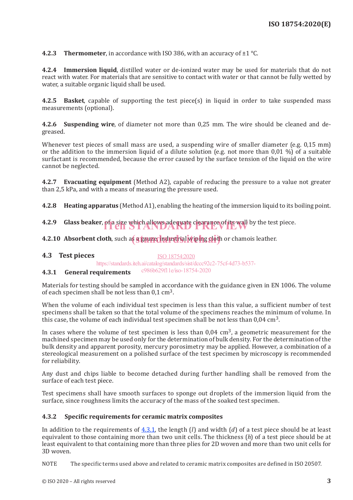**4.2.3 Thermometer**, in accordance with ISO 386, with an accuracy of ±1 °C.

**4.2.4 Immersion liquid**, distilled water or de-ionized water may be used for materials that do not react with water. For materials that are sensitive to contact with water or that cannot be fully wetted by water, a suitable organic liquid shall be used.

**4.2.5 Basket**, capable of supporting the test piece(s) in liquid in order to take suspended mass measurements (optional).

**4.2.6 Suspending wire**, of diameter not more than 0,25 mm. The wire should be cleaned and degreased.

Whenever test pieces of small mass are used, a suspending wire of smaller diameter (e.g. 0,15 mm) or the addition to the immersion liquid of a dilute solution (e.g. not more than 0,01 %) of a suitable surfactant is recommended, because the error caused by the surface tension of the liquid on the wire cannot be neglected.

**4.2.7 Evacuating equipment** (Method A2), capable of reducing the pressure to a value not greater than 2,5 kPa, and with a means of measuring the pressure used.

**4.2.8 Heating apparatus** (Method A1), enabling the heating of the immersion liquid to its boiling point.

- **4.2.9 Glass beaker**, of a size which allows adequate clearance of its wall by the test piece.
- **4.2.10 Absorbent cloth, such as a gauze cindustrial wiping cloth** or chamois leather.

| 4.3 Test pieces | ISO 18754:2020                                                            |  |  |
|-----------------|---------------------------------------------------------------------------|--|--|
|                 | https://standards.iteh.ai/catalog/standards/sist/dccc92c2-75cf-4d73-b537- |  |  |
|                 | $1007.720811.$ $\mu$ = 10751.3030                                         |  |  |

#### **4.3.1 General requirements** c986b629f11e/iso-18754-2020

Materials for testing should be sampled in accordance with the guidance given in EN 1006. The volume of each specimen shall be not less than 0,1 cm3.

When the volume of each individual test specimen is less than this value, a sufficient number of test specimens shall be taken so that the total volume of the specimens reaches the minimum of volume. In this case, the volume of each individual test specimen shall be not less than 0,04 cm3.

In cases where the volume of test specimen is less than  $0.04 \text{ cm}^3$ , a geometric measurement for the machined specimen may be used only for the determination of bulk density. For the determination of the bulk density and apparent porosity, mercury porosimetry may be applied. However, a combination of a stereological measurement on a polished surface of the test specimen by microscopy is recommended for reliability.

Any dust and chips liable to become detached during further handling shall be removed from the surface of each test piece.

Test specimens shall have smooth surfaces to sponge out droplets of the immersion liquid from the surface, since roughness limits the accuracy of the mass of the soaked test specimen.

#### **4.3.2 Specific requirements for ceramic matrix composites**

In addition to the requirements of 4.3.1, the length (*l*) and width (*d*) of a test piece should be at least equivalent to those containing more than two unit cells. The thickness (*h*) of a test piece should be at least equivalent to that containing more than three plies for 2D woven and more than two unit cells for 3D woven.

NOTE The specific terms used above and related to ceramic matrix composites are defined in ISO 20507.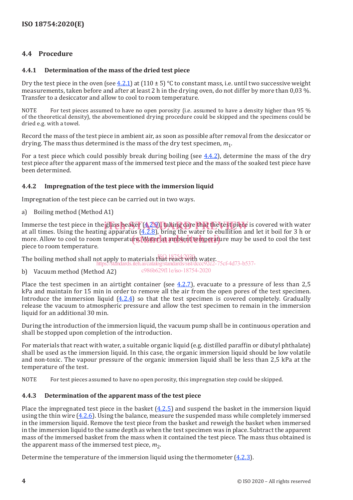# **4.4 Procedure**

#### **4.4.1 Determination of the mass of the dried test piece**

Dry the test piece in the oven (see  $\frac{4.2.1}{2}$ ) at (110 ± 5) °C to constant mass, i.e. until two successive weight measurements, taken before and after at least 2 h in the drying oven, do not differ by more than 0,03 %. Transfer to a desiccator and allow to cool to room temperature.

NOTE For test pieces assumed to have no open porosity (i.e. assumed to have a density higher than 95 % of the theoretical density), the abovementioned drying procedure could be skipped and the specimens could be dried e.g. with a towel.

Record the mass of the test piece in ambient air, as soon as possible after removal from the desiccator or drying. The mass thus determined is the mass of the dry test specimen, *m*1.

For a test piece which could possibly break during boiling (see  $4.4.2$ ), determine the mass of the dry test piece after the apparent mass of the immersed test piece and the mass of the soaked test piece have been determined.

#### **4.4.2 Impregnation of the test piece with the immersion liquid**

Impregnation of the test piece can be carried out in two ways.

a) Boiling method (Method A1)

Immerse the test piece in the glass beaker  $(4.2.9)$ , taking care that the test piece is covered with water<br>at all times. Using the heating apparatus  $(4.2.8)$ , bring the water to ebullition and let it hoil for 3 h or at all times. Using the heating apparatus  $(4.2.8)$ , bring the water to ebullition and let it boil for 3 h or at an emes. Song the heating apparatus (*f.2.3.)*, oring the water to countion and let R bon for 5 h of more. Allow to cool to room temperature. Water at ambient temperature may be used to cool the test misse to recon temp piece to room temperature.

The boiling method shall not apply to materials that  $\frac{187542020}{87542020}$  water.

- https://standards.iteh.ai/catalog/standards/sist/dccc92c2-75cf-4d73-b537-
- b) Vacuum method (Method A2) c986b629f11e/iso-18754-2020

Place the test specimen in an airtight container (see  $4.2.7$ ), evacuate to a pressure of less than 2,5 kPa and maintain for 15 min in order to remove all the air from the open pores of the test specimen. Introduce the immersion liquid  $(4.2.4)$  so that the test specimen is covered completely. Gradually release the vacuum to atmospheric pressure and allow the test specimen to remain in the immersion liquid for an additional 30 min.

During the introduction of the immersion liquid, the vacuum pump shall be in continuous operation and shall be stopped upon completion of the introduction.

For materials that react with water, a suitable organic liquid (e.g. distilled paraffin or dibutyl phthalate) shall be used as the immersion liquid. In this case, the organic immersion liquid should be low volatile and non-toxic. The vapour pressure of the organic immersion liquid shall be less than 2,5 kPa at the temperature of the test.

NOTE For test pieces assumed to have no open porosity, this impregnation step could be skipped.

#### **4.4.3 Determination of the apparent mass of the test piece**

Place the impregnated test piece in the basket  $(4.2.5)$  and suspend the basket in the immersion liquid using the thin wire (4.2.6). Using the balance, measure the suspended mass while completely immersed in the immersion liquid. Remove the test piece from the basket and reweigh the basket when immersed in the immersion liquid to the same depth as when the test specimen was in place. Subtract the apparent mass of the immersed basket from the mass when it contained the test piece. The mass thus obtained is the apparent mass of the immersed test piece,  $m<sub>2</sub>$ .

Determine the temperature of the immersion liquid using the thermometer (4.2.3).